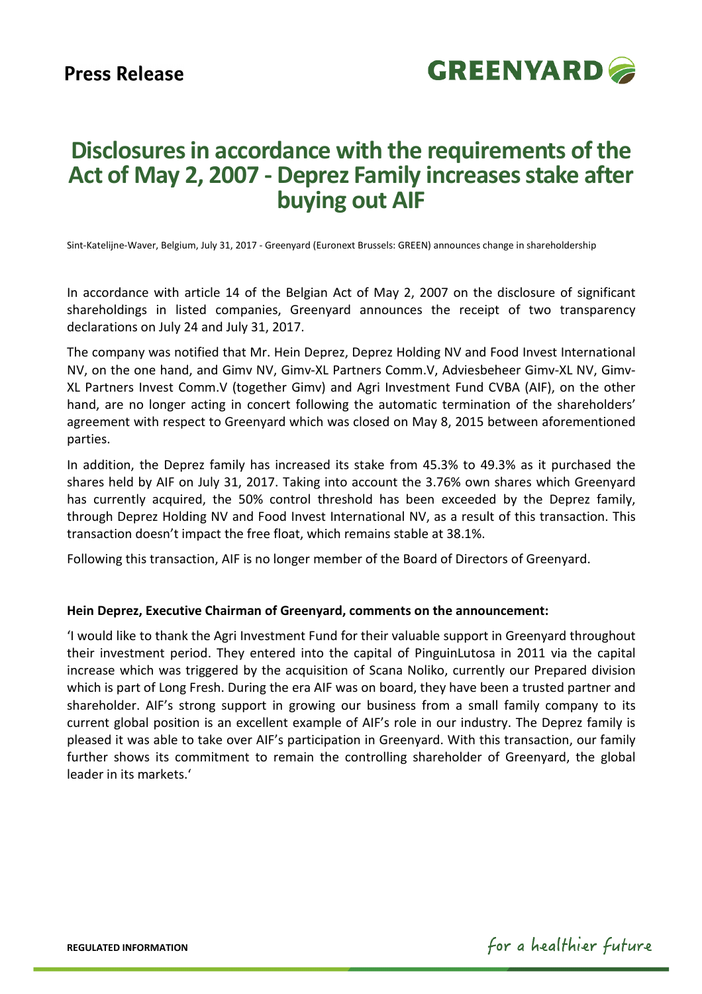

## **Disclosures in accordance with the requirements of the Act of May 2, 2007 - Deprez Family increases stake after buying out AIF**

Sint-Katelijne-Waver, Belgium, July 31, 2017 - Greenyard (Euronext Brussels: GREEN) announces change in shareholdership

In accordance with article 14 of the Belgian Act of May 2, 2007 on the disclosure of significant shareholdings in listed companies, Greenyard announces the receipt of two transparency declarations on July 24 and July 31, 2017.

The company was notified that Mr. Hein Deprez, Deprez Holding NV and Food Invest International NV, on the one hand, and Gimv NV, Gimv-XL Partners Comm.V, Adviesbeheer Gimv-XL NV, Gimv-XL Partners Invest Comm.V (together Gimv) and Agri Investment Fund CVBA (AIF), on the other hand, are no longer acting in concert following the automatic termination of the shareholders' agreement with respect to Greenyard which was closed on May 8, 2015 between aforementioned parties.

In addition, the Deprez family has increased its stake from 45.3% to 49.3% as it purchased the shares held by AIF on July 31, 2017. Taking into account the 3.76% own shares which Greenyard has currently acquired, the 50% control threshold has been exceeded by the Deprez family, through Deprez Holding NV and Food Invest International NV, as a result of this transaction. This transaction doesn't impact the free float, which remains stable at 38.1%.

Following this transaction, AIF is no longer member of the Board of Directors of Greenyard.

## **Hein Deprez, Executive Chairman of Greenyard, comments on the announcement:**

'I would like to thank the Agri Investment Fund for their valuable support in Greenyard throughout their investment period. They entered into the capital of PinguinLutosa in 2011 via the capital increase which was triggered by the acquisition of Scana Noliko, currently our Prepared division which is part of Long Fresh. During the era AIF was on board, they have been a trusted partner and shareholder. AIF's strong support in growing our business from a small family company to its current global position is an excellent example of AIF's role in our industry. The Deprez family is pleased it was able to take over AIF's participation in Greenyard. With this transaction, our family further shows its commitment to remain the controlling shareholder of Greenyard, the global leader in its markets.'

**REGULATED INFORMATION** 

for a healthier future